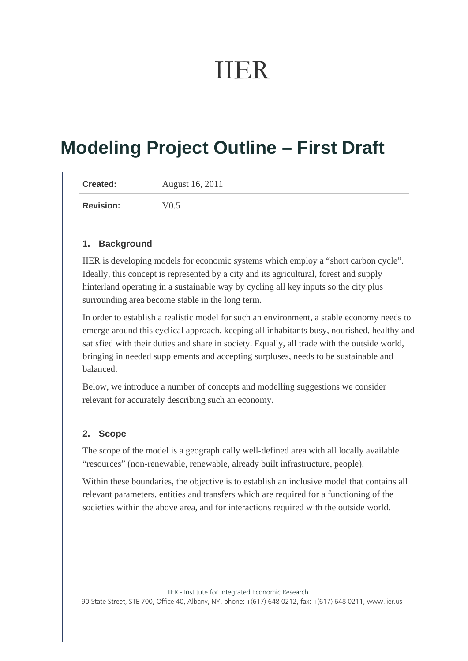# IIER

## **Modeling Project Outline – First Draft**

| <b>Created:</b>  | August 16, 2011 |
|------------------|-----------------|
| <b>Revision:</b> | V0.5            |

#### **1. Background**

IIER is developing models for economic systems which employ a "short carbon cycle". Ideally, this concept is represented by a city and its agricultural, forest and supply hinterland operating in a sustainable way by cycling all key inputs so the city plus surrounding area become stable in the long term.

In order to establish a realistic model for such an environment, a stable economy needs to emerge around this cyclical approach, keeping all inhabitants busy, nourished, healthy and satisfied with their duties and share in society. Equally, all trade with the outside world, bringing in needed supplements and accepting surpluses, needs to be sustainable and balanced.

Below, we introduce a number of concepts and modelling suggestions we consider relevant for accurately describing such an economy.

#### **2. Scope**

The scope of the model is a geographically well-defined area with all locally available "resources" (non-renewable, renewable, already built infrastructure, people).

Within these boundaries, the objective is to establish an inclusive model that contains all relevant parameters, entities and transfers which are required for a functioning of the societies within the above area, and for interactions required with the outside world.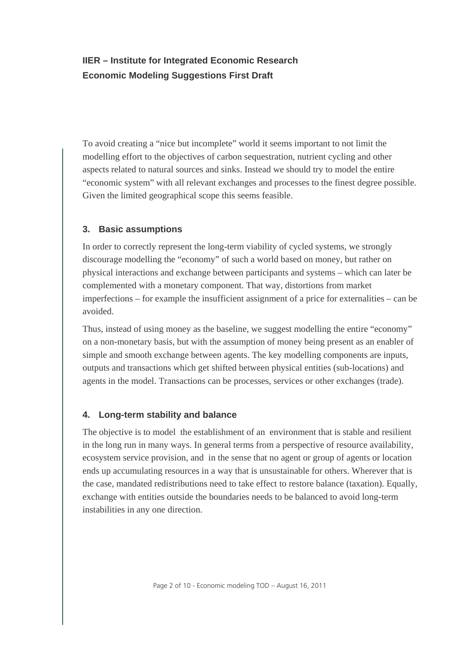To avoid creating a "nice but incomplete" world it seems important to not limit the modelling effort to the objectives of carbon sequestration, nutrient cycling and other aspects related to natural sources and sinks. Instead we should try to model the entire "economic system" with all relevant exchanges and processes to the finest degree possible. Given the limited geographical scope this seems feasible.

## **3. Basic assumptions**

In order to correctly represent the long-term viability of cycled systems, we strongly discourage modelling the "economy" of such a world based on money, but rather on physical interactions and exchange between participants and systems – which can later be complemented with a monetary component. That way, distortions from market imperfections – for example the insufficient assignment of a price for externalities – can be avoided.

Thus, instead of using money as the baseline, we suggest modelling the entire "economy" on a non-monetary basis, but with the assumption of money being present as an enabler of simple and smooth exchange between agents. The key modelling components are inputs, outputs and transactions which get shifted between physical entities (sub-locations) and agents in the model. Transactions can be processes, services or other exchanges (trade).

## **4. Long-term stability and balance**

The objective is to model the establishment of an environment that is stable and resilient in the long run in many ways. In general terms from a perspective of resource availability, ecosystem service provision, and in the sense that no agent or group of agents or location ends up accumulating resources in a way that is unsustainable for others. Wherever that is the case, mandated redistributions need to take effect to restore balance (taxation). Equally, exchange with entities outside the boundaries needs to be balanced to avoid long-term instabilities in any one direction.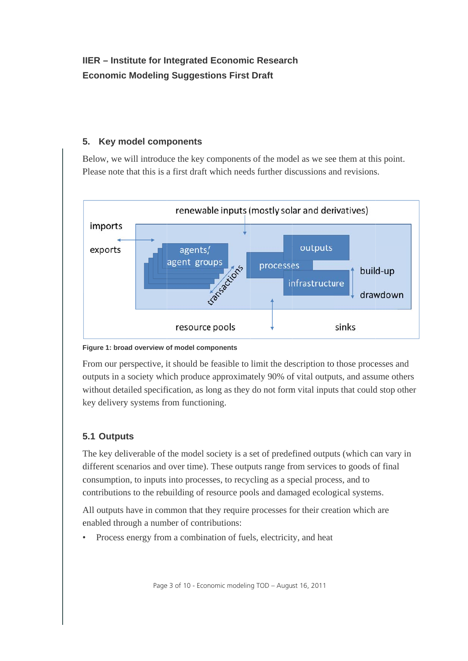#### **5 5. Key m model com ponents**

Below, we will introduce the key components of the model as we see them at this point. Please note that this is a first draft which needs further discussions and revisions.



#### **Figure 1: broad overview of model components**

From our perspective, it should be feasible to limit the description to those processes and outputs in a society which produce approximately 90% of vital outputs, and assume others without detailed specification, as long as they do not form vital inputs that could stop other key delivery systems from functioning.

## **5.1 Outputs**

The key deliverable of the model society is a set of predefined outputs (which can vary in different scenarios and over time). These outputs range from services to goods of final consumption, to inputs into processes, to recycling as a special process, and to contributions to the rebuilding of resource pools and damaged ecological systems.

All outputs have in common that they require processes for their creation which are enabled through a number of contributions:

• • Process energy from a combination of fuels, electricity, and heat

Page 3 of 10 - Economic modeling TOD – August 16, 2011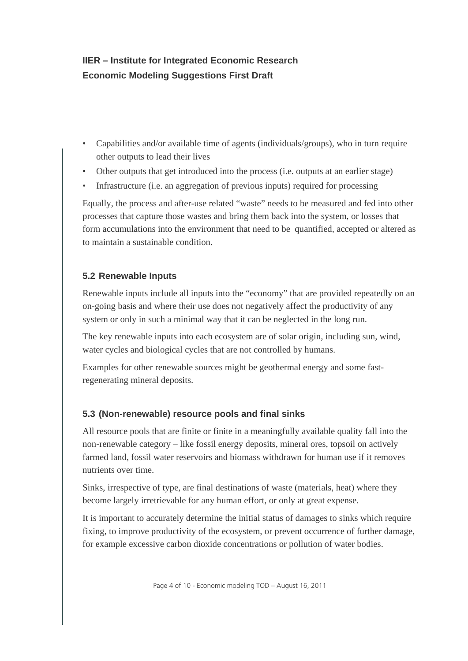- Capabilities and/or available time of agents (individuals/groups), who in turn require other outputs to lead their lives
- Other outputs that get introduced into the process (i.e. outputs at an earlier stage)
- Infrastructure (i.e. an aggregation of previous inputs) required for processing

Equally, the process and after-use related "waste" needs to be measured and fed into other processes that capture those wastes and bring them back into the system, or losses that form accumulations into the environment that need to be quantified, accepted or altered as to maintain a sustainable condition.

## **5.2 Renewable Inputs**

Renewable inputs include all inputs into the "economy" that are provided repeatedly on an on-going basis and where their use does not negatively affect the productivity of any system or only in such a minimal way that it can be neglected in the long run.

The key renewable inputs into each ecosystem are of solar origin, including sun, wind, water cycles and biological cycles that are not controlled by humans.

Examples for other renewable sources might be geothermal energy and some fastregenerating mineral deposits.

#### **5.3 (Non-renewable) resource pools and final sinks**

All resource pools that are finite or finite in a meaningfully available quality fall into the non-renewable category – like fossil energy deposits, mineral ores, topsoil on actively farmed land, fossil water reservoirs and biomass withdrawn for human use if it removes nutrients over time.

Sinks, irrespective of type, are final destinations of waste (materials, heat) where they become largely irretrievable for any human effort, or only at great expense.

It is important to accurately determine the initial status of damages to sinks which require fixing, to improve productivity of the ecosystem, or prevent occurrence of further damage, for example excessive carbon dioxide concentrations or pollution of water bodies.

Page 4 of 10 - Economic modeling TOD – August 16, 2011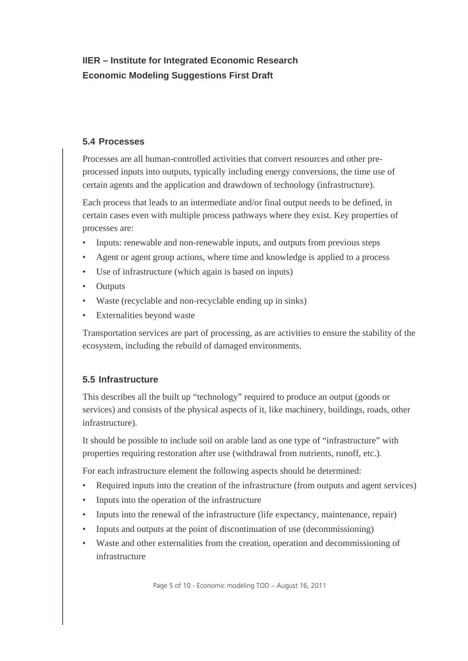#### **5.4 Processes**

Processes are all human-controlled activities that convert resources and other preprocessed inputs into outputs, typically including energy conversions, the time use of certain agents and the application and drawdown of technology (infrastructure).

Each process that leads to an intermediate and/or final output needs to be defined, in certain cases even with multiple process pathways where they exist. Key properties of processes are:

- Inputs: renewable and non-renewable inputs, and outputs from previous steps
- Agent or agent group actions, where time and knowledge is applied to a process
- Use of infrastructure (which again is based on inputs)
- Outputs
- Waste (recyclable and non-recyclable ending up in sinks)
- Externalities beyond waste

Transportation services are part of processing, as are activities to ensure the stability of the ecosystem, including the rebuild of damaged environments.

#### **5.5 Infrastructure**

This describes all the built up "technology" required to produce an output (goods or services) and consists of the physical aspects of it, like machinery, buildings, roads, other infrastructure).

It should be possible to include soil on arable land as one type of "infrastructure" with properties requiring restoration after use (withdrawal from nutrients, runoff, etc.).

For each infrastructure element the following aspects should be determined:

- Required inputs into the creation of the infrastructure (from outputs and agent services)
- Inputs into the operation of the infrastructure
- Inputs into the renewal of the infrastructure (life expectancy, maintenance, repair)
- Inputs and outputs at the point of discontinuation of use (decommissioning)
- Waste and other externalities from the creation, operation and decommissioning of infrastructure

Page 5 of 10 - Economic modeling TOD – August 16, 2011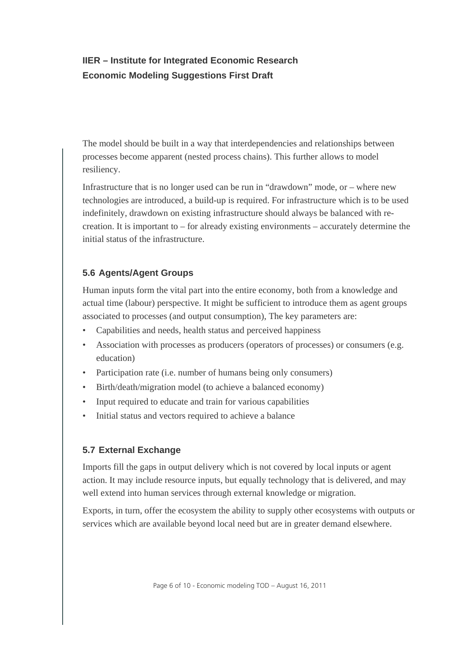The model should be built in a way that interdependencies and relationships between processes become apparent (nested process chains). This further allows to model resiliency.

Infrastructure that is no longer used can be run in "drawdown" mode, or – where new technologies are introduced, a build-up is required. For infrastructure which is to be used indefinitely, drawdown on existing infrastructure should always be balanced with recreation. It is important to – for already existing environments – accurately determine the initial status of the infrastructure.

#### **5.6 Agents/Agent Groups**

Human inputs form the vital part into the entire economy, both from a knowledge and actual time (labour) perspective. It might be sufficient to introduce them as agent groups associated to processes (and output consumption), The key parameters are:

- Capabilities and needs, health status and perceived happiness
- Association with processes as producers (operators of processes) or consumers (e.g. education)
- Participation rate (i.e. number of humans being only consumers)
- Birth/death/migration model (to achieve a balanced economy)
- Input required to educate and train for various capabilities
- Initial status and vectors required to achieve a balance

## **5.7 External Exchange**

Imports fill the gaps in output delivery which is not covered by local inputs or agent action. It may include resource inputs, but equally technology that is delivered, and may well extend into human services through external knowledge or migration.

Exports, in turn, offer the ecosystem the ability to supply other ecosystems with outputs or services which are available beyond local need but are in greater demand elsewhere.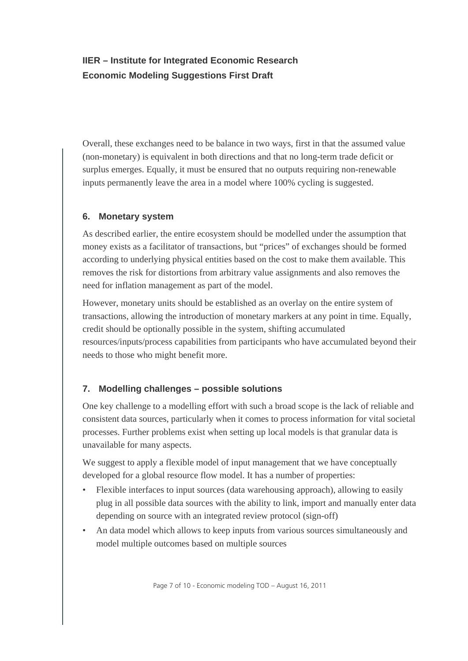Overall, these exchanges need to be balance in two ways, first in that the assumed value (non-monetary) is equivalent in both directions and that no long-term trade deficit or surplus emerges. Equally, it must be ensured that no outputs requiring non-renewable inputs permanently leave the area in a model where 100% cycling is suggested.

#### **6. Monetary system**

As described earlier, the entire ecosystem should be modelled under the assumption that money exists as a facilitator of transactions, but "prices" of exchanges should be formed according to underlying physical entities based on the cost to make them available. This removes the risk for distortions from arbitrary value assignments and also removes the need for inflation management as part of the model.

However, monetary units should be established as an overlay on the entire system of transactions, allowing the introduction of monetary markers at any point in time. Equally, credit should be optionally possible in the system, shifting accumulated resources/inputs/process capabilities from participants who have accumulated beyond their needs to those who might benefit more.

## **7. Modelling challenges – possible solutions**

One key challenge to a modelling effort with such a broad scope is the lack of reliable and consistent data sources, particularly when it comes to process information for vital societal processes. Further problems exist when setting up local models is that granular data is unavailable for many aspects.

We suggest to apply a flexible model of input management that we have conceptually developed for a global resource flow model. It has a number of properties:

- Flexible interfaces to input sources (data warehousing approach), allowing to easily plug in all possible data sources with the ability to link, import and manually enter data depending on source with an integrated review protocol (sign-off)
- An data model which allows to keep inputs from various sources simultaneously and model multiple outcomes based on multiple sources

Page 7 of 10 - Economic modeling TOD – August 16, 2011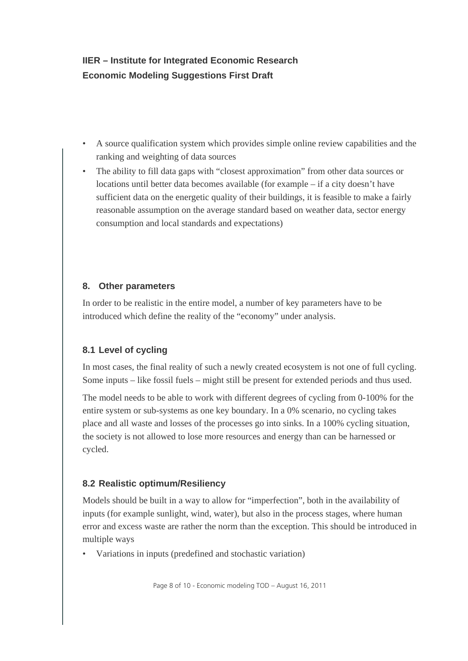- A source qualification system which provides simple online review capabilities and the ranking and weighting of data sources
- The ability to fill data gaps with "closest approximation" from other data sources or locations until better data becomes available (for example – if a city doesn't have sufficient data on the energetic quality of their buildings, it is feasible to make a fairly reasonable assumption on the average standard based on weather data, sector energy consumption and local standards and expectations)

## **8. Other parameters**

In order to be realistic in the entire model, a number of key parameters have to be introduced which define the reality of the "economy" under analysis.

## **8.1 Level of cycling**

In most cases, the final reality of such a newly created ecosystem is not one of full cycling. Some inputs – like fossil fuels – might still be present for extended periods and thus used.

The model needs to be able to work with different degrees of cycling from 0-100% for the entire system or sub-systems as one key boundary. In a 0% scenario, no cycling takes place and all waste and losses of the processes go into sinks. In a 100% cycling situation, the society is not allowed to lose more resources and energy than can be harnessed or cycled.

## **8.2 Realistic optimum/Resiliency**

Models should be built in a way to allow for "imperfection", both in the availability of inputs (for example sunlight, wind, water), but also in the process stages, where human error and excess waste are rather the norm than the exception. This should be introduced in multiple ways

• Variations in inputs (predefined and stochastic variation)

Page 8 of 10 - Economic modeling TOD – August 16, 2011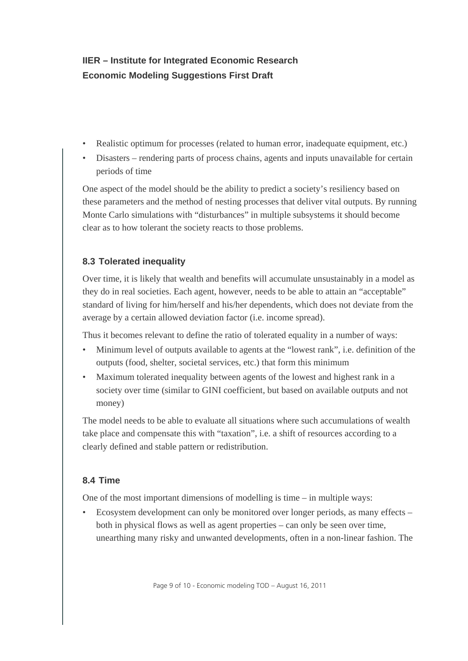- Realistic optimum for processes (related to human error, inadequate equipment, etc.)
- Disasters rendering parts of process chains, agents and inputs unavailable for certain periods of time

One aspect of the model should be the ability to predict a society's resiliency based on these parameters and the method of nesting processes that deliver vital outputs. By running Monte Carlo simulations with "disturbances" in multiple subsystems it should become clear as to how tolerant the society reacts to those problems.

## **8.3 Tolerated inequality**

Over time, it is likely that wealth and benefits will accumulate unsustainably in a model as they do in real societies. Each agent, however, needs to be able to attain an "acceptable" standard of living for him/herself and his/her dependents, which does not deviate from the average by a certain allowed deviation factor (i.e. income spread).

Thus it becomes relevant to define the ratio of tolerated equality in a number of ways:

- Minimum level of outputs available to agents at the "lowest rank", i.e. definition of the outputs (food, shelter, societal services, etc.) that form this minimum
- Maximum tolerated inequality between agents of the lowest and highest rank in a society over time (similar to GINI coefficient, but based on available outputs and not money)

The model needs to be able to evaluate all situations where such accumulations of wealth take place and compensate this with "taxation", i.e. a shift of resources according to a clearly defined and stable pattern or redistribution.

## **8.4 Time**

One of the most important dimensions of modelling is time – in multiple ways:

• Ecosystem development can only be monitored over longer periods, as many effects – both in physical flows as well as agent properties – can only be seen over time, unearthing many risky and unwanted developments, often in a non-linear fashion. The

Page 9 of 10 - Economic modeling TOD – August 16, 2011